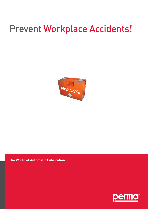# Prevent Workplace Accidents!



#### **The World of Automatic Lubrication**

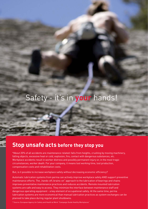## Safety - it's in **your** hands!

### **Stop unsafe acts before they stop you**

\*About 20% of all accidents are maintenance related: falls from heights, crushing by moving machinery, falling objects, excessive heat or cold, explosion, fire, contact with dangerous substances, etc. Workplace accidents result in worker distress and possibly permanent injury or, in the most tragic circumstances, worker death. For your company, it means lost working time, lost production, compensation costs and rehabilitation costs.

But, is it possible to increase workplace safety without decreasing economic efficiency?

Automatic lubrication systems from perma can actively improve workplace safety AND support preventive maintenance efforts. The "hands-off, brains-on" approach to the lubrication of bearings and chains improves preventative maintenance practices and reduces accidents. Remote mounted lubrication systems are safe and easy to access. They minimize the interface between maintenance staff and dangerous operating equipment - a key element of occupational safety. At the same time, perma lubrication systems are more economical than manual lubrication practices as system exchanges can be planned to take place during regular plant shutdowns.

\* Source: European Agency for Safety and Health at Work "Campaign Guide Healthy Workplaces"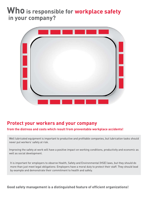## **Who is responsible for workplace safety in your company?**



### **Protect your workers and your company**

#### **from the distress and costs which result from preventable workplace accidents!**

Well lubricated equipment is important to productive and profitable companies, but lubrication tasks should never put workers' safety at risk.

 Improving the safety at work will have a positive impact on working conditions, productivity and economic as well as social development.

 It is important for employers to observe Health, Safety and Environmental (HSE) laws, but they should do more than just meet legal obligations: Employers have a moral duty to protect their staff. They should lead by example and demonstrate their commitment to health and safety.

#### **Good safety management is a distinguished feature of efficient organizations!**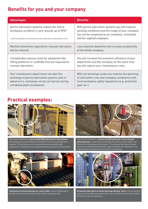### **Benefits for you and your company**

| <b>Advantages</b>                                                                                                                                                            | <b>Benefits</b>                                                                                                                                                                         |  |
|------------------------------------------------------------------------------------------------------------------------------------------------------------------------------|-----------------------------------------------------------------------------------------------------------------------------------------------------------------------------------------|--|
| perma lubrication systems reduce the risk of<br>workplace accidents in your area by up to 90%*.<br>* Internal evaluation of maintenance work (reduction of maintenance runs) | With perma lubrication systems you will improve<br>working conditions and the image of your company.<br>You will be respected as an innovative, motivated,<br>and far-sighted employee. |  |
| Machine downtime required for manual lubrication                                                                                                                             | Less machine downtime will increase productivity                                                                                                                                        |  |
| will be reduced.                                                                                                                                                             | of the whole company.                                                                                                                                                                   |  |
| Considerably reduces costs for equipment like                                                                                                                                | You will increase the economic efficiency of your                                                                                                                                       |  |
| lifting platforms or scaffolds that are required for                                                                                                                         | department and the company. At the same time                                                                                                                                            |  |
| manual lubrication.                                                                                                                                                          | you will reduce your maintenance costs.                                                                                                                                                 |  |
| Your maintenance department can plan the                                                                                                                                     | With set exchange cycles you improve the planning                                                                                                                                       |  |
| exchange of perma lubrication systems well in                                                                                                                                | of lubrication runs and company compliance with                                                                                                                                         |  |
| advance (i.e. exchange can be carried out during                                                                                                                             | local workplace safety regulations (e.g. protective                                                                                                                                     |  |
| scheduled plant shutdowns).                                                                                                                                                  | gear etc.).                                                                                                                                                                             |  |

### **Practical examples:**



The remote installation of **perma STAR VARIO lubricators to this conveyor** pulley bearing at a cement plant has allowed the hole in the guarding to be repaired. The lubricators can be inspected and serviced safely while equipment is running which has improved safe work practices and saved time.



**Lubrication of various bearings on a coal crusher.** perma STAR made it possible to install the lubrication point outside the danger zone.



The remote installation of **perma CLASSIC lubricator to this conveyor pulley bearing** at a quarry has eliminated the need for safety cages to be lifted off for the purpose of lubrication. This reduces the chance of back strains associated with lifting safety cages and allows the lubricator to be inspected and serviced while the conveyor is operating.



**Permanent lubrication of various bearings and gear racks** in the automotive industry. perma PRO guarantees safe, clean and efficient lubrication without the need to stop the equipment.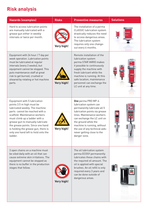### **Risk analysis**

| <b>Hazards (examples)</b>                                                                                                                                                                                                                                                                                                                                         | <b>Risks</b> | <b>Preventive measures</b>                                                                                                                                                                                                                                                                                       | <b>Solutions</b> |
|-------------------------------------------------------------------------------------------------------------------------------------------------------------------------------------------------------------------------------------------------------------------------------------------------------------------------------------------------------------------|--------------|------------------------------------------------------------------------------------------------------------------------------------------------------------------------------------------------------------------------------------------------------------------------------------------------------------------|------------------|
| Hard to access lubrication points<br>are manually lubricated with a<br>grease gun either in weekly<br>intervals or twice per month.                                                                                                                                                                                                                               | Very high!   | The installation of a perma<br><b>CLASSIC lubrication system</b><br>drastically reduces the need<br>to access dangerous areas.<br>The lubrication system<br>requires only one change-<br>out every 6 months.                                                                                                     | <b>CLASSIC</b>   |
| Equipment with 24 hour / 7 day per<br>week operation. Lubrication points<br>must be lubricated at regular<br>intervals (every 2 weeks), but<br>equipment cannot be stopped. This<br>puts maintenance staff at great<br>risk to get burned, crushed or<br>sheared by rotating or hot machine<br>parts.                                                             | Very high!   | Remote installation of the<br>lubrication system<br>perma STAR VARIO makes<br>it possible to continuously<br>supply the machine with<br>fresh lubricant while the<br>machine is running. At this<br>safe location, maintenance<br>personnel can exchange the<br>LC unit at any time.                             | <b>STAR</b>      |
| Equipment with 5 lubrication<br>points 3.5 m high must be<br>lubricated weekly. The machine<br>parts cannot be reached with a<br>scaffold. Maintenance workers<br>must climb up a ladder with a<br>grease gun to manually lubricate<br>the grease points. Since one hand<br>is holding the grease gun, there is<br>only one hand left to hold onto the<br>ladder. | Very high!   | One perma PRO MP-6<br>lubrication system can<br>permanently lubricate all 5<br>lubrication points via grease<br>lines. Maintenance workers<br>can exchange the LC unit on<br>the ground while the<br>machine is running, without<br>the use of any technical aids-<br>never getting close to the<br>danger zone. |                  |
| 3 open chains on a machine must<br>be oiled daily with an oil that can<br>cause extreme skin irritations. The<br>equipment cannot be stopped as<br>there is no buffer in the production<br>stages that follow.                                                                                                                                                    | Very high!   | The oil lubrication system<br>perma ECOSY permanently<br>lubricates these chains with<br>the required oil amount. The<br>oil is applied with special<br>brushes. An oil refill is only<br>required every 3 years and<br>can be done outside of<br>dangerous areas.                                               |                  |